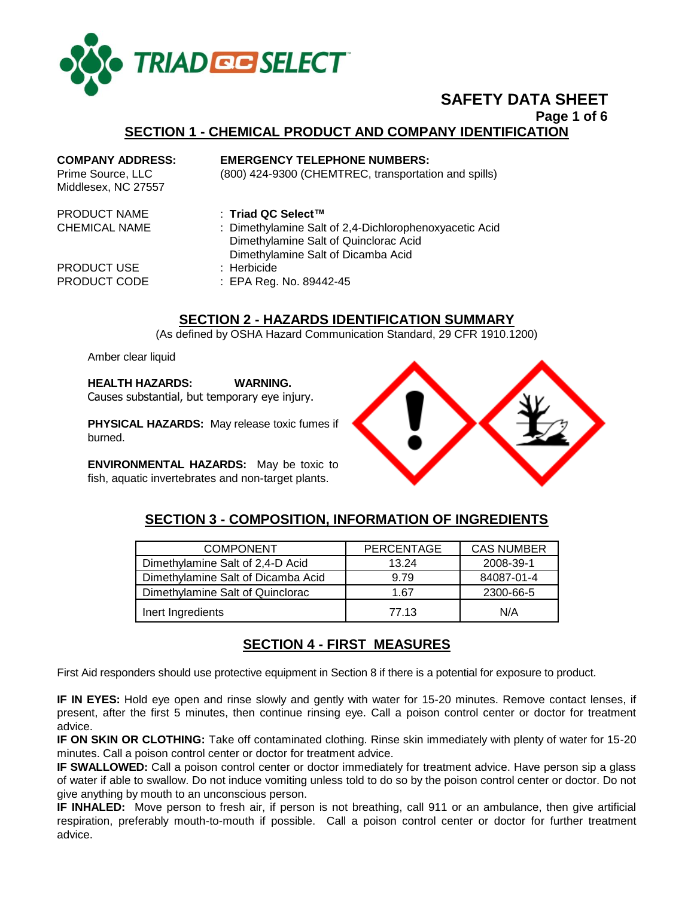

# **SAFETY DATA SHEET**

**Page 1 of 6**

#### **SECTION 1 - CHEMICAL PRODUCT AND COMPANY IDENTIFICATION**

**COMPANY ADDRESS: EMERGENCY TELEPHONE NUMBERS:**

Prime Source, LLC (800) 424-9300 (CHEMTREC, transportation and spills)

- Middlesex, NC 27557
- PRODUCT NAME : **Triad QC Select™**
- PRODUCT USE : Herbicide
- CHEMICAL NAME : Dimethylamine Salt of 2,4-Dichlorophenoxyacetic Acid Dimethylamine Salt of Quinclorac Acid Dimethylamine Salt of Dicamba Acid PRODUCT CODE : EPA Reg. No. 89442-45

# **SECTION 2 - HAZARDS IDENTIFICATION SUMMARY**

(As defined by OSHA Hazard Communication Standard, 29 CFR 1910.1200)

Amber clear liquid

**HEALTH HAZARDS: WARNING.** 

Causes substantial, but temporary eye injury.

**PHYSICAL HAZARDS:** May release toxic fumes if burned.

**ENVIRONMENTAL HAZARDS:** May be toxic to fish, aquatic invertebrates and non-target plants.



# **SECTION 3 - COMPOSITION, INFORMATION OF INGREDIENTS**

| <b>COMPONENT</b>                   | <b>PERCENTAGE</b> | <b>CAS NUMBER</b> |
|------------------------------------|-------------------|-------------------|
| Dimethylamine Salt of 2,4-D Acid   | 13.24             | 2008-39-1         |
| Dimethylamine Salt of Dicamba Acid | 9.79              | 84087-01-4        |
| Dimethylamine Salt of Quinclorac   | 1.67              | 2300-66-5         |
| Inert Ingredients                  | 77.13             | N/A               |

# **SECTION 4 - FIRST MEASURES**

First Aid responders should use protective equipment in Section 8 if there is a potential for exposure to product.

**IF IN EYES:** Hold eye open and rinse slowly and gently with water for 15-20 minutes. Remove contact lenses, if present, after the first 5 minutes, then continue rinsing eye. Call a poison control center or doctor for treatment advice.

**IF ON SKIN OR CLOTHING:** Take off contaminated clothing. Rinse skin immediately with plenty of water for 15-20 minutes. Call a poison control center or doctor for treatment advice.

**IF SWALLOWED:** Call a poison control center or doctor immediately for treatment advice. Have person sip a glass of water if able to swallow. Do not induce vomiting unless told to do so by the poison control center or doctor. Do not give anything by mouth to an unconscious person.

**IF INHALED:** Move person to fresh air, if person is not breathing, call 911 or an ambulance, then give artificial respiration, preferably mouth-to-mouth if possible. Call a poison control center or doctor for further treatment advice.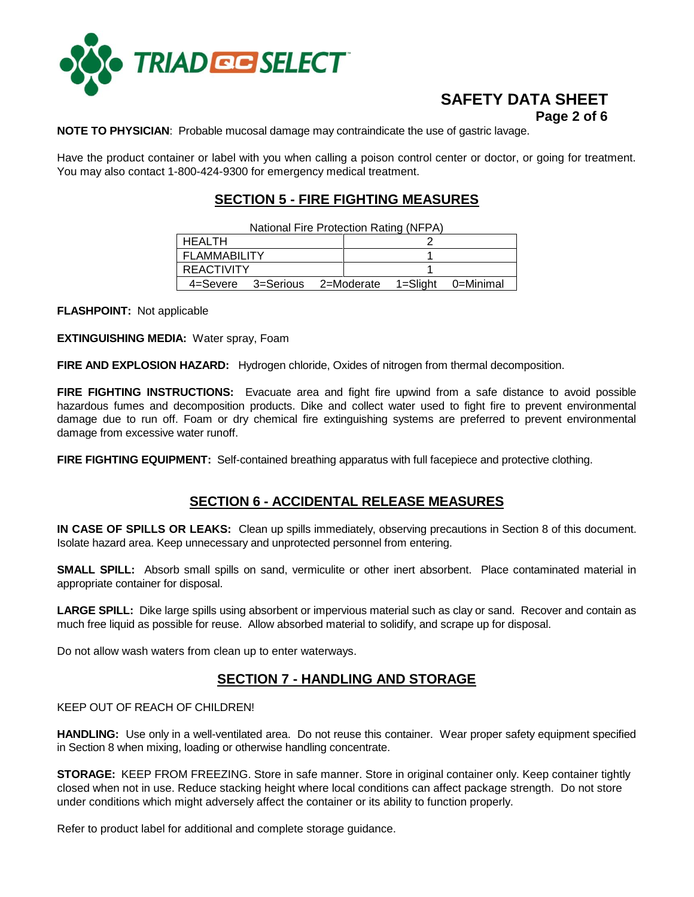

# **SAFETY DATA SHEET Page 2 of 6**

**NOTE TO PHYSICIAN**: Probable mucosal damage may contraindicate the use of gastric lavage.

Have the product container or label with you when calling a poison control center or doctor, or going for treatment. You may also contact 1-800-424-9300 for emergency medical treatment.

# **SECTION 5 - FIRE FIGHTING MEASURES**

| National Fire Protection Rating (NFPA) |  |                                                  |  |  |  |
|----------------------------------------|--|--------------------------------------------------|--|--|--|
| <b>HEALTH</b>                          |  |                                                  |  |  |  |
| <b>FLAMMABILITY</b>                    |  |                                                  |  |  |  |
| <b>REACTIVITY</b>                      |  |                                                  |  |  |  |
|                                        |  | 4=Severe 3=Serious 2=Moderate 1=Slight 0=Minimal |  |  |  |

**FLASHPOINT:** Not applicable

**EXTINGUISHING MEDIA:** Water spray, Foam

**FIRE AND EXPLOSION HAZARD:** Hydrogen chloride, Oxides of nitrogen from thermal decomposition.

**FIRE FIGHTING INSTRUCTIONS:** Evacuate area and fight fire upwind from a safe distance to avoid possible hazardous fumes and decomposition products. Dike and collect water used to fight fire to prevent environmental damage due to run off. Foam or dry chemical fire extinguishing systems are preferred to prevent environmental damage from excessive water runoff.

**FIRE FIGHTING EQUIPMENT:** Self-contained breathing apparatus with full facepiece and protective clothing.

#### **SECTION 6 - ACCIDENTAL RELEASE MEASURES**

**IN CASE OF SPILLS OR LEAKS:** Clean up spills immediately, observing precautions in Section 8 of this document. Isolate hazard area. Keep unnecessary and unprotected personnel from entering.

**SMALL SPILL:** Absorb small spills on sand, vermiculite or other inert absorbent. Place contaminated material in appropriate container for disposal.

**LARGE SPILL:** Dike large spills using absorbent or impervious material such as clay or sand. Recover and contain as much free liquid as possible for reuse. Allow absorbed material to solidify, and scrape up for disposal.

Do not allow wash waters from clean up to enter waterways.

## **SECTION 7 - HANDLING AND STORAGE**

KEEP OUT OF REACH OF CHILDREN!

**HANDLING:** Use only in a well-ventilated area. Do not reuse this container. Wear proper safety equipment specified in Section 8 when mixing, loading or otherwise handling concentrate.

**STORAGE:** KEEP FROM FREEZING. Store in safe manner. Store in original container only. Keep container tightly closed when not in use. Reduce stacking height where local conditions can affect package strength. Do not store under conditions which might adversely affect the container or its ability to function properly.

Refer to product label for additional and complete storage guidance.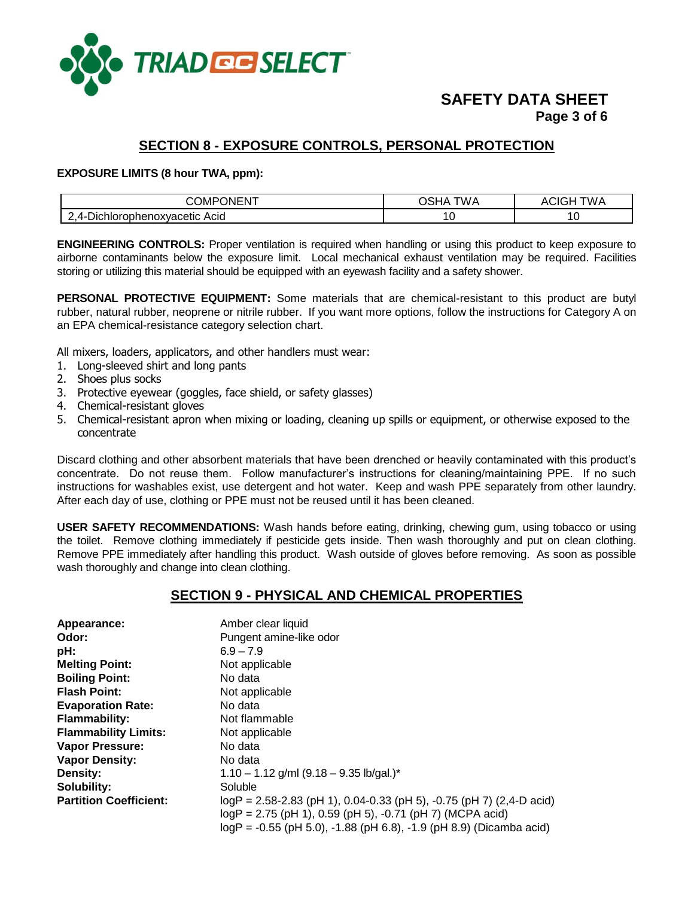

# **SAFETY DATA SHEET Page 3 of 6**

# **SECTION 8 - EXPOSURE CONTROLS, PERSONAL PROTECTION**

#### **EXPOSURE LIMITS (8 hour TWA, ppm):**

| $\cdots$<br>⊃OMP<br>JNEN.                         | <b>TWA</b><br>Ē | ΓW ∕<br>AUR |
|---------------------------------------------------|-----------------|-------------|
| Acid<br>-----<br>rophenoxvacetic<br>Jich<br>:nıor |                 | v           |

**ENGINEERING CONTROLS:** Proper ventilation is required when handling or using this product to keep exposure to airborne contaminants below the exposure limit. Local mechanical exhaust ventilation may be required. Facilities storing or utilizing this material should be equipped with an eyewash facility and a safety shower.

**PERSONAL PROTECTIVE EQUIPMENT:** Some materials that are chemical-resistant to this product are butyl rubber, natural rubber, neoprene or nitrile rubber. If you want more options, follow the instructions for Category A on an EPA chemical-resistance category selection chart.

All mixers, loaders, applicators, and other handlers must wear:

- 1. Long-sleeved shirt and long pants
- 2. Shoes plus socks
- 3. Protective eyewear (goggles, face shield, or safety glasses)
- 4. Chemical-resistant gloves
- 5. Chemical-resistant apron when mixing or loading, cleaning up spills or equipment, or otherwise exposed to the concentrate

Discard clothing and other absorbent materials that have been drenched or heavily contaminated with this product's concentrate. Do not reuse them. Follow manufacturer's instructions for cleaning/maintaining PPE. If no such instructions for washables exist, use detergent and hot water. Keep and wash PPE separately from other laundry. After each day of use, clothing or PPE must not be reused until it has been cleaned.

**USER SAFETY RECOMMENDATIONS:** Wash hands before eating, drinking, chewing gum, using tobacco or using the toilet. Remove clothing immediately if pesticide gets inside. Then wash thoroughly and put on clean clothing. Remove PPE immediately after handling this product. Wash outside of gloves before removing. As soon as possible wash thoroughly and change into clean clothing.

## **SECTION 9 - PHYSICAL AND CHEMICAL PROPERTIES**

| Appearance:                   | Amber clear liquid                                                        |
|-------------------------------|---------------------------------------------------------------------------|
| Odor:                         | Pungent amine-like odor                                                   |
| pH:                           | $6.9 - 7.9$                                                               |
| <b>Melting Point:</b>         | Not applicable                                                            |
| <b>Boiling Point:</b>         | No data                                                                   |
| <b>Flash Point:</b>           | Not applicable                                                            |
| <b>Evaporation Rate:</b>      | No data                                                                   |
| <b>Flammability:</b>          | Not flammable                                                             |
| <b>Flammability Limits:</b>   | Not applicable                                                            |
| <b>Vapor Pressure:</b>        | No data                                                                   |
| <b>Vapor Density:</b>         | No data                                                                   |
| Density:                      | $1.10 - 1.12$ g/ml (9.18 - 9.35 lb/gal.)*                                 |
| Solubility:                   | Soluble                                                                   |
| <b>Partition Coefficient:</b> | $logP = 2.58 - 2.83$ (pH 1), 0.04-0.33 (pH 5), -0.75 (pH 7) (2,4-D acid)  |
|                               | $logP = 2.75$ (pH 1), 0.59 (pH 5), -0.71 (pH 7) (MCPA acid)               |
|                               | $logP = -0.55$ (pH 5.0), $-1.88$ (pH 6.8), $-1.9$ (pH 8.9) (Dicamba acid) |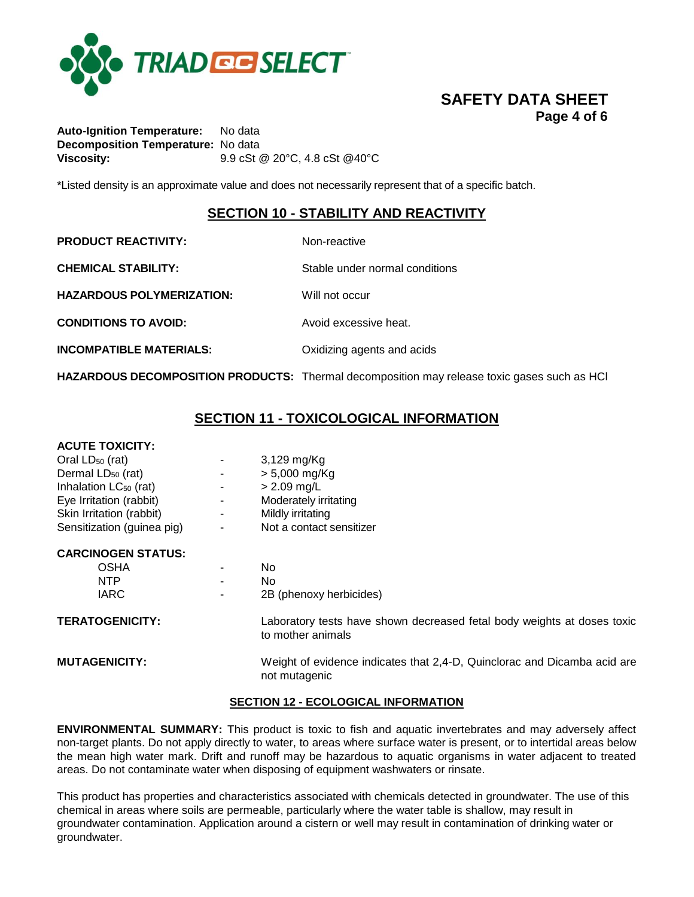

# **SAFETY DATA SHEET Page 4 of 6**

**Auto-Ignition Temperature:** No data **Decomposition Temperature:** No data **Viscosity:** 9.9 cSt @ 20°C, 4.8 cSt @40°C

\*Listed density is an approximate value and does not necessarily represent that of a specific batch.

# **SECTION 10 - STABILITY AND REACTIVITY**

**PRODUCT REACTIVITY:** Non-reactive

**CHEMICAL STABILITY:** Stable under normal conditions

**HAZARDOUS POLYMERIZATION:** Will not occur

**CONDITIONS TO AVOID:** Avoid excessive heat.

**INCOMPATIBLE MATERIALS:** Oxidizing agents and acids

**HAZARDOUS DECOMPOSITION PRODUCTS:** Thermal decomposition may release toxic gases such as HCl

# **SECTION 11 - TOXICOLOGICAL INFORMATION**

#### **ACUTE TOXICITY:**

| Oral LD <sub>50</sub> (rat)       | $\overline{\phantom{0}}$ | $3,129$ mg/Kg            |
|-----------------------------------|--------------------------|--------------------------|
| Dermal LD <sub>50</sub> (rat)     | $\overline{\phantom{0}}$ | $> 5,000$ mg/Kg          |
| Inhalation LC <sub>50</sub> (rat) | $\overline{\phantom{a}}$ | $> 2.09$ mg/L            |
| Eye Irritation (rabbit)           | $\overline{\phantom{0}}$ | Moderately irritating    |
| Skin Irritation (rabbit)          |                          | Mildly irritating        |
| Sensitization (guinea pig)        | $\overline{\phantom{0}}$ | Not a contact sensitizer |
|                                   |                          |                          |

#### **CARCINOGEN STATUS:**

| OSHA             | ٠                        | N٥                                                                                                                                                                                                                             |
|------------------|--------------------------|--------------------------------------------------------------------------------------------------------------------------------------------------------------------------------------------------------------------------------|
| NTP              | $\overline{\phantom{a}}$ | N٥                                                                                                                                                                                                                             |
| <b>IARC</b>      | $\overline{\phantom{a}}$ | 2B (phenoxy herbicides)                                                                                                                                                                                                        |
| 'ת-ימונות האדי ה |                          | the basic contract and the contract of the contract of the contract of the contract of the contract of the contract of the contract of the contract of the contract of the contract of the contract of the contract of the con |

**TERATOGENICITY:** Laboratory tests have shown decreased fetal body weights at doses toxic to mother animals

**MUTAGENICITY:** Weight of evidence indicates that 2,4-D, Quinclorac and Dicamba acid are not mutagenic

#### **SECTION 12 - ECOLOGICAL INFORMATION**

**ENVIRONMENTAL SUMMARY:** This product is toxic to fish and aquatic invertebrates and may adversely affect non-target plants. Do not apply directly to water, to areas where surface water is present, or to intertidal areas below the mean high water mark. Drift and runoff may be hazardous to aquatic organisms in water adjacent to treated areas. Do not contaminate water when disposing of equipment washwaters or rinsate.

This product has properties and characteristics associated with chemicals detected in groundwater. The use of this chemical in areas where soils are permeable, particularly where the water table is shallow, may result in groundwater contamination. Application around a cistern or well may result in contamination of drinking water or groundwater.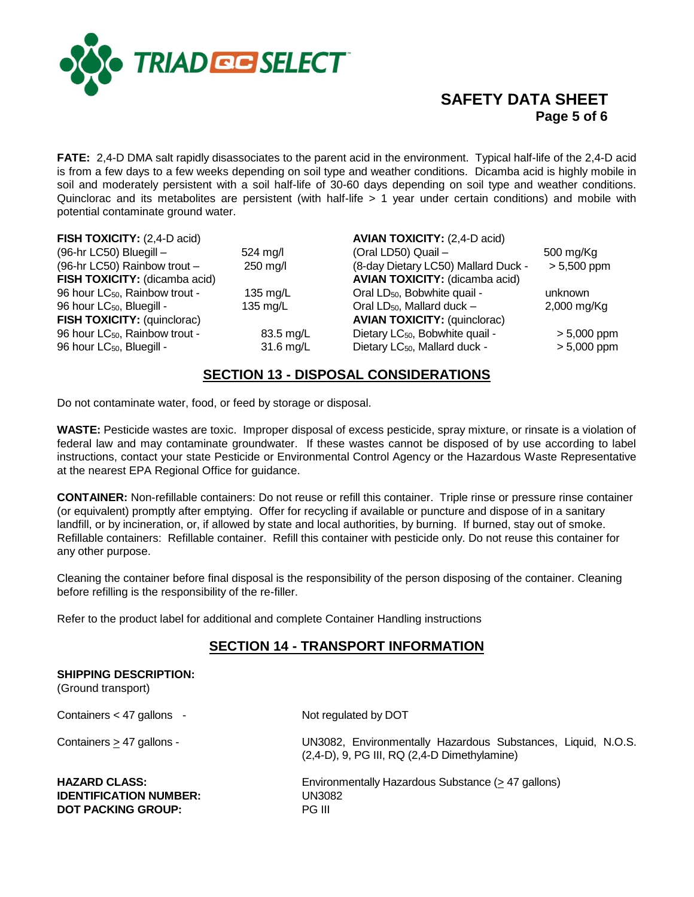

# **SAFETY DATA SHEET Page 5 of 6**

**FATE:** 2,4-D DMA salt rapidly disassociates to the parent acid in the environment. Typical half-life of the 2,4-D acid is from a few days to a few weeks depending on soil type and weather conditions. Dicamba acid is highly mobile in soil and moderately persistent with a soil half-life of 30-60 days depending on soil type and weather conditions. Quinclorac and its metabolites are persistent (with half-life > 1 year under certain conditions) and mobile with potential contaminate ground water.

| FISH TOXICITY: (2,4-D acid)                |                    | <b>AVIAN TOXICITY: (2,4-D acid)</b>         |               |
|--------------------------------------------|--------------------|---------------------------------------------|---------------|
| (96-hr LC50) Bluegill -                    | $524 \text{ mg/l}$ | (Oral LD50) Quail -                         | 500 mg/Kg     |
| (96-hr LC50) Rainbow trout -               | 250 mg/l           | (8-day Dietary LC50) Mallard Duck -         | $> 5,500$ ppm |
| FISH TOXICITY: (dicamba acid)              |                    | <b>AVIAN TOXICITY:</b> (dicamba acid)       |               |
| 96 hour LC <sub>50</sub> , Rainbow trout - | 135 $mg/L$         | Oral LD <sub>50</sub> , Bobwhite quail -    | unknown       |
| 96 hour LC <sub>50</sub> , Bluegill -      | 135 mg/L           | Oral LD <sub>50</sub> , Mallard duck -      | $2,000$ mg/Kg |
| FISH TOXICITY: (quinclorac)                |                    | <b>AVIAN TOXICITY: (quinclorac)</b>         |               |
| 96 hour LC <sub>50</sub> , Rainbow trout - | 83.5 mg/L          | Dietary LC <sub>50</sub> , Bobwhite quail - | $> 5,000$ ppm |
| 96 hour LC <sub>50</sub> , Bluegill -      | 31.6 mg/L          | Dietary LC <sub>50</sub> , Mallard duck -   | $> 5,000$ ppm |

## **SECTION 13 - DISPOSAL CONSIDERATIONS**

Do not contaminate water, food, or feed by storage or disposal.

**WASTE:** Pesticide wastes are toxic. Improper disposal of excess pesticide, spray mixture, or rinsate is a violation of federal law and may contaminate groundwater. If these wastes cannot be disposed of by use according to label instructions, contact your state Pesticide or Environmental Control Agency or the Hazardous Waste Representative at the nearest EPA Regional Office for guidance.

**CONTAINER:** Non-refillable containers: Do not reuse or refill this container. Triple rinse or pressure rinse container (or equivalent) promptly after emptying. Offer for recycling if available or puncture and dispose of in a sanitary landfill, or by incineration, or, if allowed by state and local authorities, by burning. If burned, stay out of smoke. Refillable containers: Refillable container. Refill this container with pesticide only. Do not reuse this container for any other purpose.

Cleaning the container before final disposal is the responsibility of the person disposing of the container. Cleaning before refilling is the responsibility of the re-filler.

Refer to the product label for additional and complete Container Handling instructions

# **SECTION 14 - TRANSPORT INFORMATION**

| <b>SHIPPING DESCRIPTION:</b><br>(Ground transport)                                 |                                                                                                                    |
|------------------------------------------------------------------------------------|--------------------------------------------------------------------------------------------------------------------|
| Containers $<$ 47 gallons -                                                        | Not regulated by DOT                                                                                               |
| Containers > 47 gallons -                                                          | UN3082, Environmentally Hazardous Substances, Liquid, N.O.S.<br>$(2,4-D)$ , 9, PG III, RQ $(2,4-D)$ Dimethylamine) |
| <b>HAZARD CLASS:</b><br><b>IDENTIFICATION NUMBER:</b><br><b>DOT PACKING GROUP:</b> | Environmentally Hazardous Substance (> 47 gallons)<br>UN3082<br>PG III                                             |